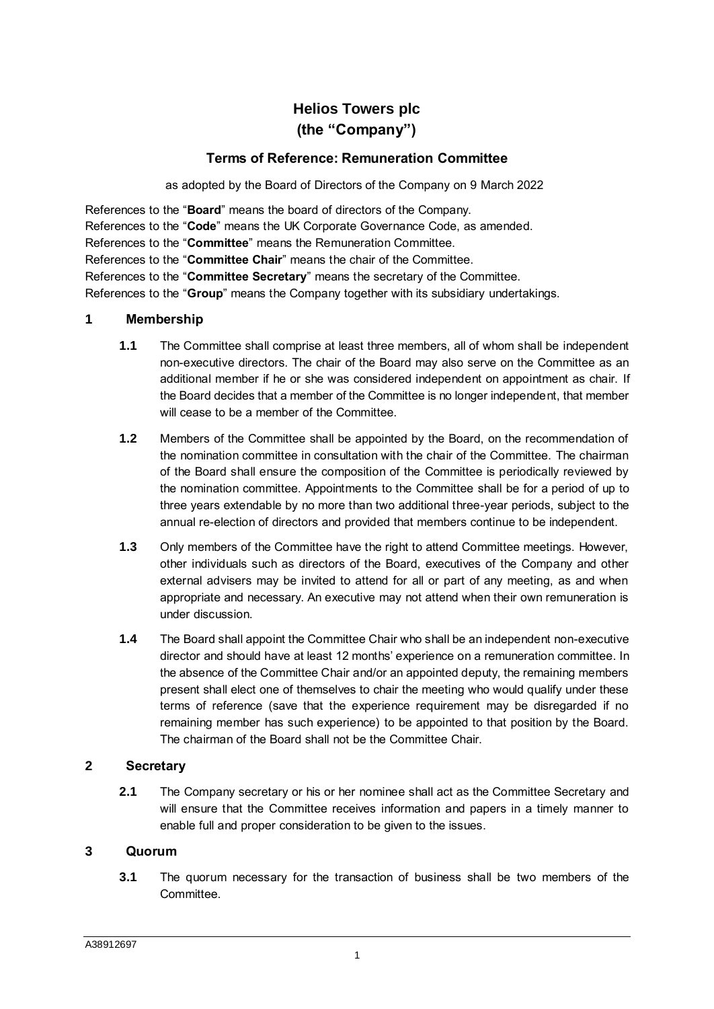# **Helios Towers plc (the "Company")**

# **Terms of Reference: Remuneration Committee**

as adopted by the Board of Directors of the Company on 9 March 2022

References to the "**Board**" means the board of directors of the Company. References to the "**Code**" means the UK Corporate Governance Code, as amended. References to the "**Committee**" means the Remuneration Committee. References to the "**Committee Chair**" means the chair of the Committee. References to the "**Committee Secretary**" means the secretary of the Committee. References to the "**Group**" means the Company together with its subsidiary undertakings.

#### **1 Membership**

- **1.1** The Committee shall comprise at least three members, all of whom shall be independent non-executive directors. The chair of the Board may also serve on the Committee as an additional member if he or she was considered independent on appointment as chair. If the Board decides that a member of the Committee is no longer independent, that member will cease to be a member of the Committee.
- **1.2** Members of the Committee shall be appointed by the Board, on the recommendation of the nomination committee in consultation with the chair of the Committee. The chairman of the Board shall ensure the composition of the Committee is periodically reviewed by the nomination committee. Appointments to the Committee shall be for a period of up to three years extendable by no more than two additional three-year periods, subject to the annual re-election of directors and provided that members continue to be independent.
- **1.3** Only members of the Committee have the right to attend Committee meetings. However, other individuals such as directors of the Board, executives of the Company and other external advisers may be invited to attend for all or part of any meeting, as and when appropriate and necessary. An executive may not attend when their own remuneration is under discussion.
- **1.4** The Board shall appoint the Committee Chair who shall be an independent non-executive director and should have at least 12 months' experience on a remuneration committee. In the absence of the Committee Chair and/or an appointed deputy, the remaining members present shall elect one of themselves to chair the meeting who would qualify under these terms of reference (save that the experience requirement may be disregarded if no remaining member has such experience) to be appointed to that position by the Board. The chairman of the Board shall not be the Committee Chair.

#### **2 Secretary**

**2.1** The Company secretary or his or her nominee shall act as the Committee Secretary and will ensure that the Committee receives information and papers in a timely manner to enable full and proper consideration to be given to the issues.

## **3 Quorum**

**3.1** The quorum necessary for the transaction of business shall be two members of the Committee.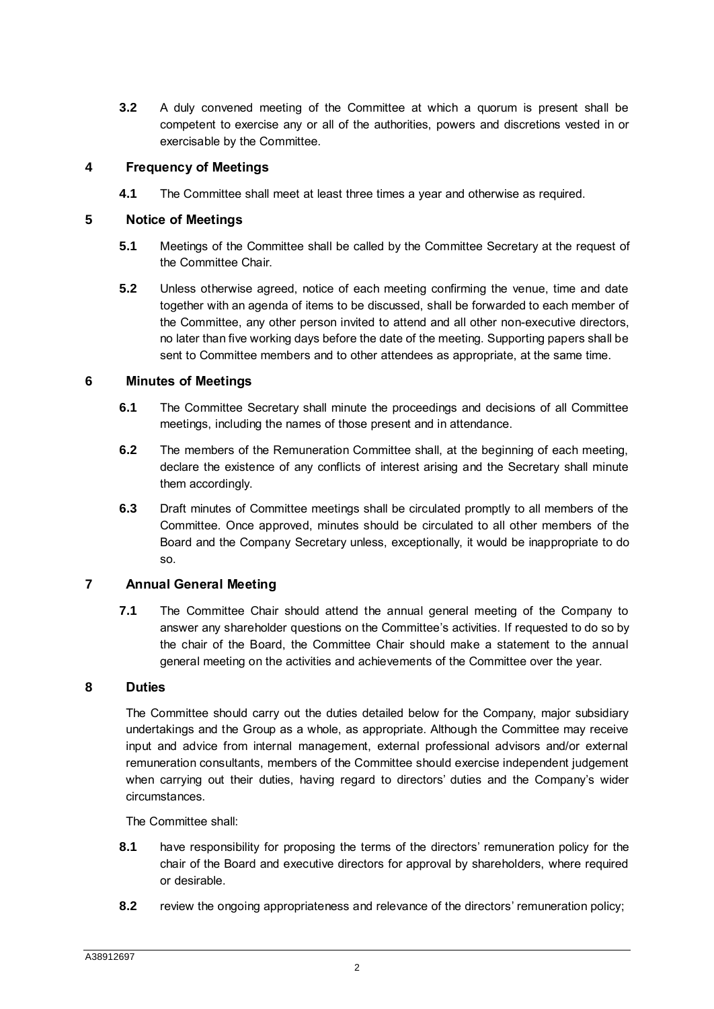**3.2** A duly convened meeting of the Committee at which a quorum is present shall be competent to exercise any or all of the authorities, powers and discretions vested in or exercisable by the Committee.

# **4 Frequency of Meetings**

**4.1** The Committee shall meet at least three times a year and otherwise as required.

## **5 Notice of Meetings**

- **5.1** Meetings of the Committee shall be called by the Committee Secretary at the request of the Committee Chair.
- **5.2** Unless otherwise agreed, notice of each meeting confirming the venue, time and date together with an agenda of items to be discussed, shall be forwarded to each member of the Committee, any other person invited to attend and all other non-executive directors, no later than five working days before the date of the meeting. Supporting papers shall be sent to Committee members and to other attendees as appropriate, at the same time.

## **6 Minutes of Meetings**

- **6.1** The Committee Secretary shall minute the proceedings and decisions of all Committee meetings, including the names of those present and in attendance.
- **6.2** The members of the Remuneration Committee shall, at the beginning of each meeting, declare the existence of any conflicts of interest arising and the Secretary shall minute them accordingly.
- **6.3** Draft minutes of Committee meetings shall be circulated promptly to all members of the Committee. Once approved, minutes should be circulated to all other members of the Board and the Company Secretary unless, exceptionally, it would be inappropriate to do so.

## **7 Annual General Meeting**

**7.1** The Committee Chair should attend the annual general meeting of the Company to answer any shareholder questions on the Committee's activities. If requested to do so by the chair of the Board, the Committee Chair should make a statement to the annual general meeting on the activities and achievements of the Committee over the year.

## **8 Duties**

The Committee should carry out the duties detailed below for the Company, major subsidiary undertakings and the Group as a whole, as appropriate. Although the Committee may receive input and advice from internal management, external professional advisors and/or external remuneration consultants, members of the Committee should exercise independent judgement when carrying out their duties, having regard to directors' duties and the Company's wider circumstances.

The Committee shall:

- <span id="page-1-0"></span>**8.1** have responsibility for proposing the terms of the directors' remuneration policy for the chair of the Board and executive directors for approval by shareholders, where required or desirable.
- **8.2** review the ongoing appropriateness and relevance of the directors' remuneration policy;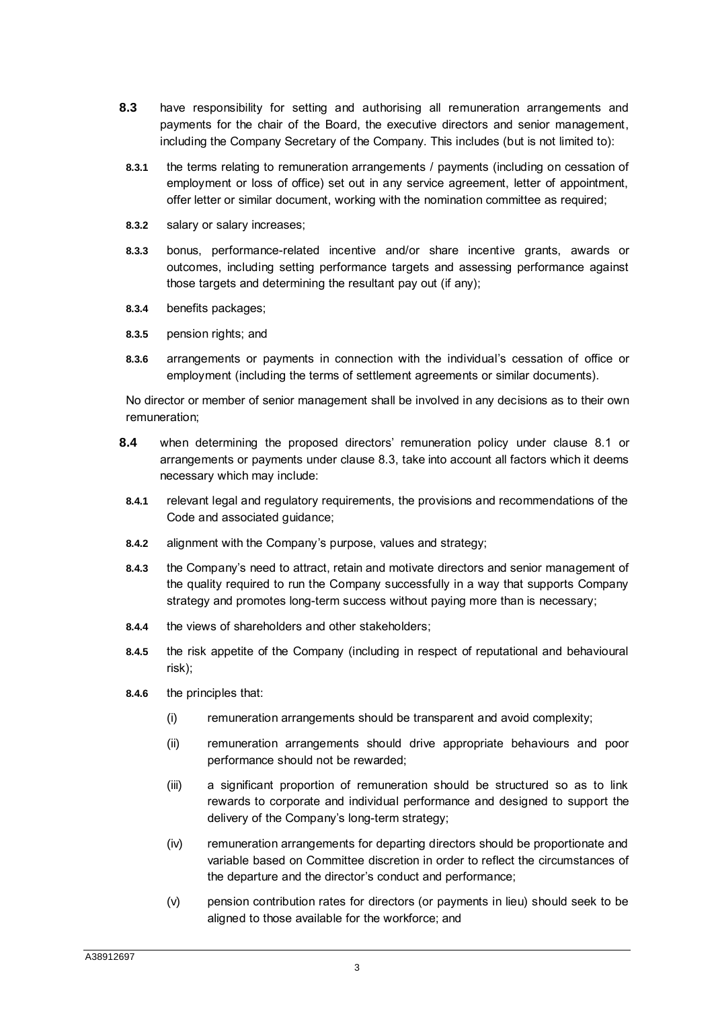- <span id="page-2-0"></span>**8.3** have responsibility for setting and authorising all remuneration arrangements and payments for the chair of the Board, the executive directors and senior management, including the Company Secretary of the Company. This includes (but is not limited to):
- **8.3.1** the terms relating to remuneration arrangements / payments (including on cessation of employment or loss of office) set out in any service agreement, letter of appointment, offer letter or similar document, working with the nomination committee as required;
- **8.3.2** salary or salary increases;
- **8.3.3** bonus, performance-related incentive and/or share incentive grants, awards or outcomes, including setting performance targets and assessing performance against those targets and determining the resultant pay out (if any);
- **8.3.4** benefits packages;
- **8.3.5** pension rights; and
- **8.3.6** arrangements or payments in connection with the individual's cessation of office or employment (including the terms of settlement agreements or similar documents).

No director or member of senior management shall be involved in any decisions as to their own remuneration;

- **8.4** when determining the proposed directors' remuneration policy under clause [8.1](#page-1-0) or arrangements or payments under clause [8.3,](#page-2-0) take into account all factors which it deems necessary which may include:
- **8.4.1** relevant legal and regulatory requirements, the provisions and recommendations of the Code and associated guidance;
- **8.4.2** alignment with the Company's purpose, values and strategy;
- **8.4.3** the Company's need to attract, retain and motivate directors and senior management of the quality required to run the Company successfully in a way that supports Company strategy and promotes long-term success without paying more than is necessary;
- **8.4.4** the views of shareholders and other stakeholders;
- **8.4.5** the risk appetite of the Company (including in respect of reputational and behavioural risk);
- **8.4.6** the principles that:
	- (i) remuneration arrangements should be transparent and avoid complexity;
	- (ii) remuneration arrangements should drive appropriate behaviours and poor performance should not be rewarded;
	- (iii) a significant proportion of remuneration should be structured so as to link rewards to corporate and individual performance and designed to support the delivery of the Company's long-term strategy;
	- (iv) remuneration arrangements for departing directors should be proportionate and variable based on Committee discretion in order to reflect the circumstances of the departure and the director's conduct and performance;
	- (v) pension contribution rates for directors (or payments in lieu) should seek to be aligned to those available for the workforce; and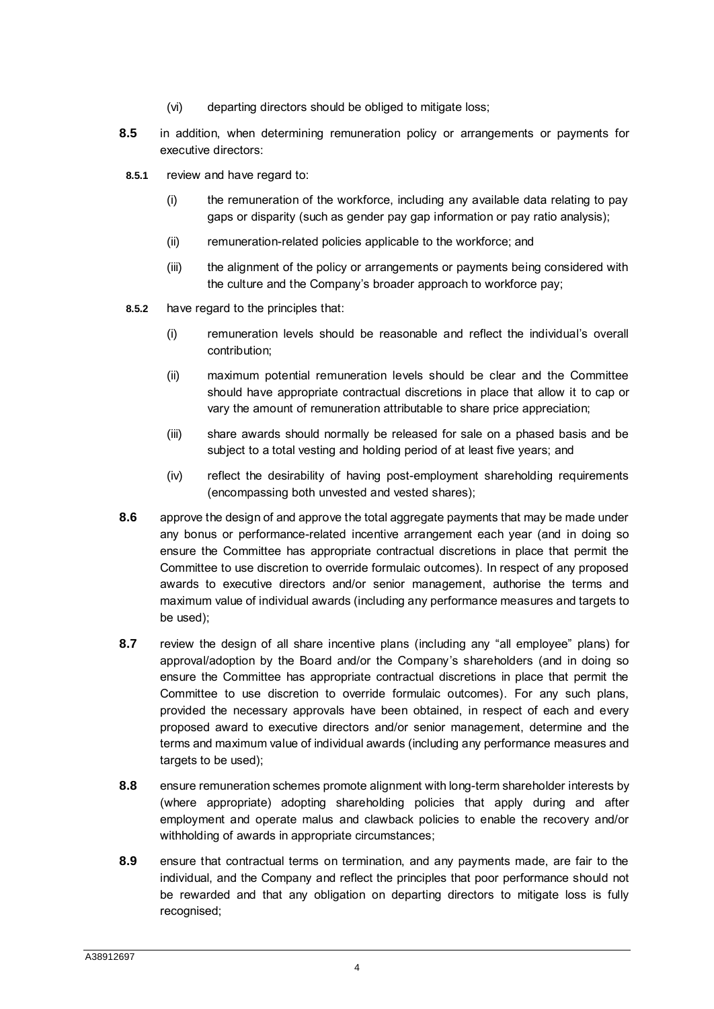- (vi) departing directors should be obliged to mitigate loss;
- **8.5** in addition, when determining remuneration policy or arrangements or payments for executive directors:
- **8.5.1** review and have regard to:
	- (i) the remuneration of the workforce, including any available data relating to pay gaps or disparity (such as gender pay gap information or pay ratio analysis);
	- (ii) remuneration-related policies applicable to the workforce; and
	- (iii) the alignment of the policy or arrangements or payments being considered with the culture and the Company's broader approach to workforce pay;
- **8.5.2** have regard to the principles that:
	- (i) remuneration levels should be reasonable and reflect the individual's overall contribution;
	- (ii) maximum potential remuneration levels should be clear and the Committee should have appropriate contractual discretions in place that allow it to cap or vary the amount of remuneration attributable to share price appreciation;
	- (iii) share awards should normally be released for sale on a phased basis and be subject to a total vesting and holding period of at least five years; and
	- (iv) reflect the desirability of having post-employment shareholding requirements (encompassing both unvested and vested shares);
- **8.6** approve the design of and approve the total aggregate payments that may be made under any bonus or performance-related incentive arrangement each year (and in doing so ensure the Committee has appropriate contractual discretions in place that permit the Committee to use discretion to override formulaic outcomes). In respect of any proposed awards to executive directors and/or senior management, authorise the terms and maximum value of individual awards (including any performance measures and targets to be used);
- **8.7** review the design of all share incentive plans (including any "all employee" plans) for approval/adoption by the Board and/or the Company's shareholders (and in doing so ensure the Committee has appropriate contractual discretions in place that permit the Committee to use discretion to override formulaic outcomes). For any such plans, provided the necessary approvals have been obtained, in respect of each and every proposed award to executive directors and/or senior management, determine and the terms and maximum value of individual awards (including any performance measures and targets to be used);
- **8.8** ensure remuneration schemes promote alignment with long-term shareholder interests by (where appropriate) adopting shareholding policies that apply during and after employment and operate malus and clawback policies to enable the recovery and/or withholding of awards in appropriate circumstances;
- **8.9** ensure that contractual terms on termination, and any payments made, are fair to the individual, and the Company and reflect the principles that poor performance should not be rewarded and that any obligation on departing directors to mitigate loss is fully recognised;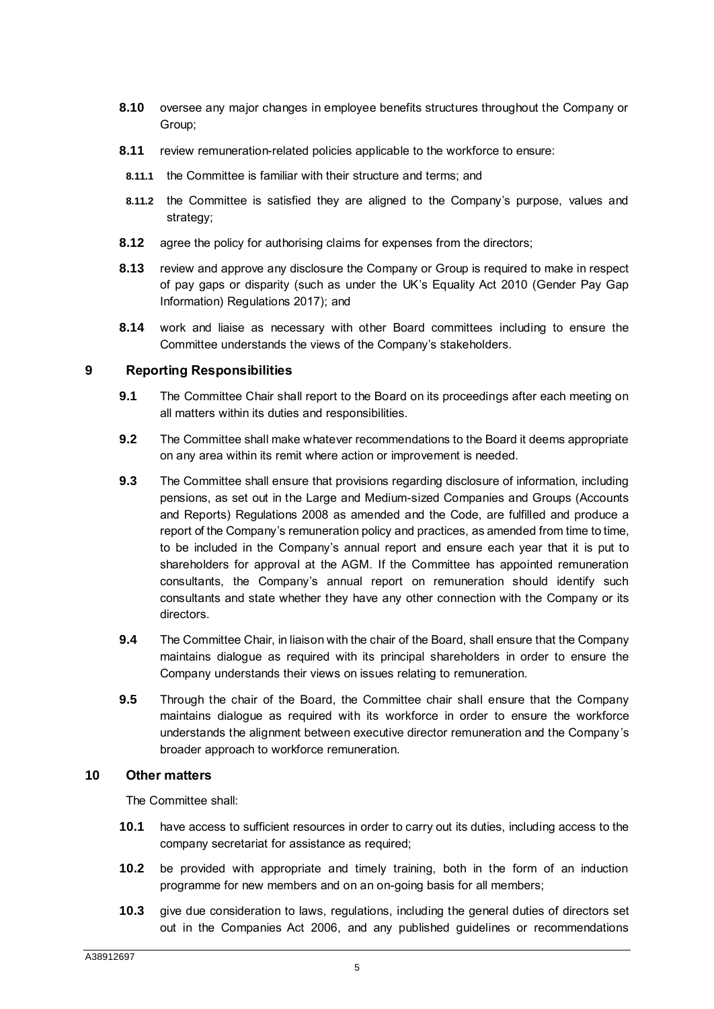- **8.10** oversee any major changes in employee benefits structures throughout the Company or Group;
- **8.11** review remuneration-related policies applicable to the workforce to ensure:
- **8.11.1** the Committee is familiar with their structure and terms; and
- **8.11.2** the Committee is satisfied they are aligned to the Company's purpose, values and strategy;
- **8.12** agree the policy for authorising claims for expenses from the directors;
- **8.13** review and approve any disclosure the Company or Group is required to make in respect of pay gaps or disparity (such as under the UK's Equality Act 2010 (Gender Pay Gap Information) Regulations 2017); and
- **8.14** work and liaise as necessary with other Board committees including to ensure the Committee understands the views of the Company's stakeholders.

#### **9 Reporting Responsibilities**

- **9.1** The Committee Chair shall report to the Board on its proceedings after each meeting on all matters within its duties and responsibilities.
- **9.2** The Committee shall make whatever recommendations to the Board it deems appropriate on any area within its remit where action or improvement is needed.
- **9.3** The Committee shall ensure that provisions regarding disclosure of information, including pensions, as set out in the Large and Medium-sized Companies and Groups (Accounts and Reports) Regulations 2008 as amended and the Code, are fulfilled and produce a report of the Company's remuneration policy and practices, as amended from time to time, to be included in the Company's annual report and ensure each year that it is put to shareholders for approval at the AGM. If the Committee has appointed remuneration consultants, the Company's annual report on remuneration should identify such consultants and state whether they have any other connection with the Company or its directors.
- **9.4** The Committee Chair, in liaison with the chair of the Board, shall ensure that the Company maintains dialogue as required with its principal shareholders in order to ensure the Company understands their views on issues relating to remuneration.
- **9.5** Through the chair of the Board, the Committee chair shall ensure that the Company maintains dialogue as required with its workforce in order to ensure the workforce understands the alignment between executive director remuneration and the Company's broader approach to workforce remuneration.

#### **10 Other matters**

The Committee shall:

- **10.1** have access to sufficient resources in order to carry out its duties, including access to the company secretariat for assistance as required;
- **10.2** be provided with appropriate and timely training, both in the form of an induction programme for new members and on an on-going basis for all members;
- **10.3** give due consideration to laws, regulations, including the general duties of directors set out in the Companies Act 2006, and any published guidelines or recommendations